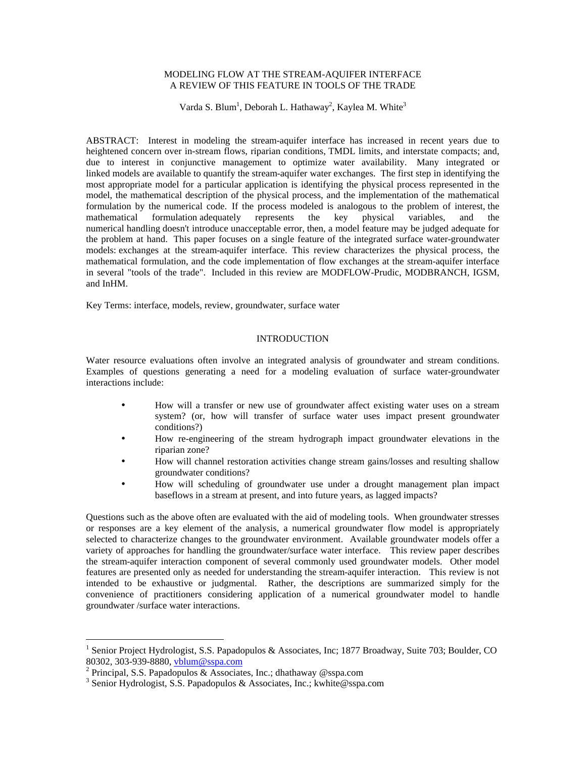# MODELING FLOW AT THE STREAM-AQUIFER INTERFACE A REVIEW OF THIS FEATURE IN TOOLS OF THE TRADE

Varda S. Blum<sup>1</sup>, Deborah L. Hathaway<sup>2</sup>, Kaylea M. White<sup>3</sup>

ABSTRACT: Interest in modeling the stream-aquifer interface has increased in recent years due to heightened concern over in-stream flows, riparian conditions, TMDL limits, and interstate compacts; and, due to interest in conjunctive management to optimize water availability. Many integrated or linked models are available to quantify the stream-aquifer water exchanges. The first step in identifying the most appropriate model for a particular application is identifying the physical process represented in the model, the mathematical description of the physical process, and the implementation of the mathematical formulation by the numerical code. If the process modeled is analogous to the problem of interest, the mathematical formulation adequately represents the key physical variables, and the numerical handling doesn't introduce unacceptable error, then, a model feature may be judged adequate for the problem at hand. This paper focuses on a single feature of the integrated surface water-groundwater models: exchanges at the stream-aquifer interface. This review characterizes the physical process, the mathematical formulation, and the code implementation of flow exchanges at the stream-aquifer interface in several "tools of the trade". Included in this review are MODFLOW-Prudic, MODBRANCH, IGSM, and InHM.

Key Terms: interface, models, review, groundwater, surface water

## INTRODUCTION

Water resource evaluations often involve an integrated analysis of groundwater and stream conditions. Examples of questions generating a need for a modeling evaluation of surface water-groundwater interactions include:

- How will a transfer or new use of groundwater affect existing water uses on a stream system? (or, how will transfer of surface water uses impact present groundwater conditions?)
- How re-engineering of the stream hydrograph impact groundwater elevations in the riparian zone?
- How will channel restoration activities change stream gains/losses and resulting shallow groundwater conditions?
- How will scheduling of groundwater use under a drought management plan impact baseflows in a stream at present, and into future years, as lagged impacts?

Questions such as the above often are evaluated with the aid of modeling tools. When groundwater stresses or responses are a key element of the analysis, a numerical groundwater flow model is appropriately selected to characterize changes to the groundwater environment. Available groundwater models offer a variety of approaches for handling the groundwater/surface water interface. This review paper describes the stream-aquifer interaction component of several commonly used groundwater models. Other model features are presented only as needed for understanding the stream-aquifer interaction. This review is not intended to be exhaustive or judgmental. Rather, the descriptions are summarized simply for the convenience of practitioners considering application of a numerical groundwater model to handle groundwater /surface water interactions.

1

<sup>&</sup>lt;sup>1</sup> Senior Project Hydrologist, S.S. Papadopulos & Associates, Inc; 1877 Broadway, Suite 703; Boulder, CO 80302, 303-939-8880, vblum@sspa.com

<sup>&</sup>lt;sup>2</sup> Principal, S.S. Papadopulos & Associates, Inc.; dhathaway @sspa.com

<sup>&</sup>lt;sup>3</sup> Senior Hydrologist, S.S. Papadopulos & Associates, Inc.; kwhite@sspa.com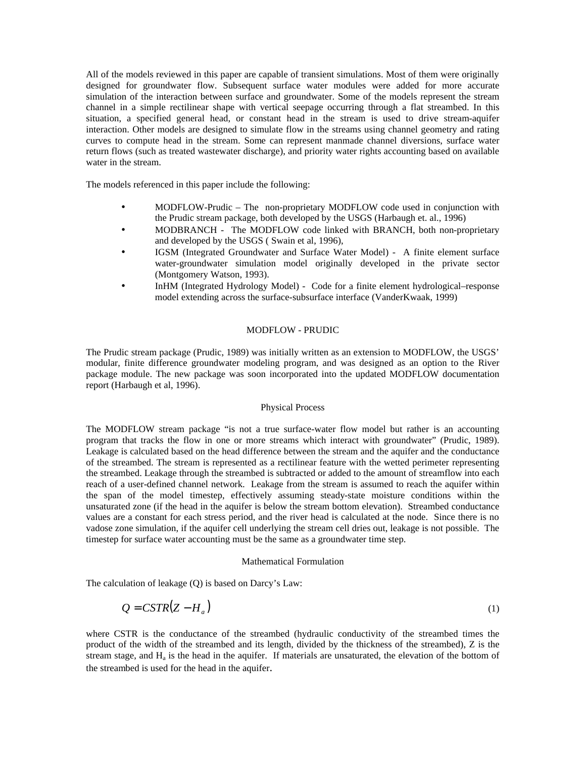All of the models reviewed in this paper are capable of transient simulations. Most of them were originally designed for groundwater flow. Subsequent surface water modules were added for more accurate simulation of the interaction between surface and groundwater. Some of the models represent the stream channel in a simple rectilinear shape with vertical seepage occurring through a flat streambed. In this situation, a specified general head, or constant head in the stream is used to drive stream-aquifer interaction. Other models are designed to simulate flow in the streams using channel geometry and rating curves to compute head in the stream. Some can represent manmade channel diversions, surface water return flows (such as treated wastewater discharge), and priority water rights accounting based on available water in the stream.

The models referenced in this paper include the following:

- MODFLOW-Prudic The non-proprietary MODFLOW code used in conjunction with the Prudic stream package, both developed by the USGS (Harbaugh et. al., 1996)
- MODBRANCH The MODFLOW code linked with BRANCH, both non-proprietary and developed by the USGS ( Swain et al, 1996),
- IGSM (Integrated Groundwater and Surface Water Model) A finite element surface water-groundwater simulation model originally developed in the private sector (Montgomery Watson, 1993).
- InHM (Integrated Hydrology Model) Code for a finite element hydrological–response model extending across the surface-subsurface interface (VanderKwaak, 1999)

## MODFLOW - PRUDIC

The Prudic stream package (Prudic, 1989) was initially written as an extension to MODFLOW, the USGS' modular, finite difference groundwater modeling program, and was designed as an option to the River package module. The new package was soon incorporated into the updated MODFLOW documentation report (Harbaugh et al, 1996).

# Physical Process

The MODFLOW stream package "is not a true surface-water flow model but rather is an accounting program that tracks the flow in one or more streams which interact with groundwater" (Prudic, 1989). Leakage is calculated based on the head difference between the stream and the aquifer and the conductance of the streambed. The stream is represented as a rectilinear feature with the wetted perimeter representing the streambed. Leakage through the streambed is subtracted or added to the amount of streamflow into each reach of a user-defined channel network. Leakage from the stream is assumed to reach the aquifer within the span of the model timestep, effectively assuming steady-state moisture conditions within the unsaturated zone (if the head in the aquifer is below the stream bottom elevation). Streambed conductance values are a constant for each stress period, and the river head is calculated at the node. Since there is no vadose zone simulation, if the aquifer cell underlying the stream cell dries out, leakage is not possible. The timestep for surface water accounting must be the same as a groundwater time step.

#### Mathematical Formulation

The calculation of leakage (Q) is based on Darcy's Law:

$$
Q = \text{CSTR}(Z - H_a) \tag{1}
$$

where CSTR is the conductance of the streambed (hydraulic conductivity of the streambed times the product of the width of the streambed and its length, divided by the thickness of the streambed), Z is the stream stage, and  $H_a$  is the head in the aquifer. If materials are unsaturated, the elevation of the bottom of the streambed is used for the head in the aquifer.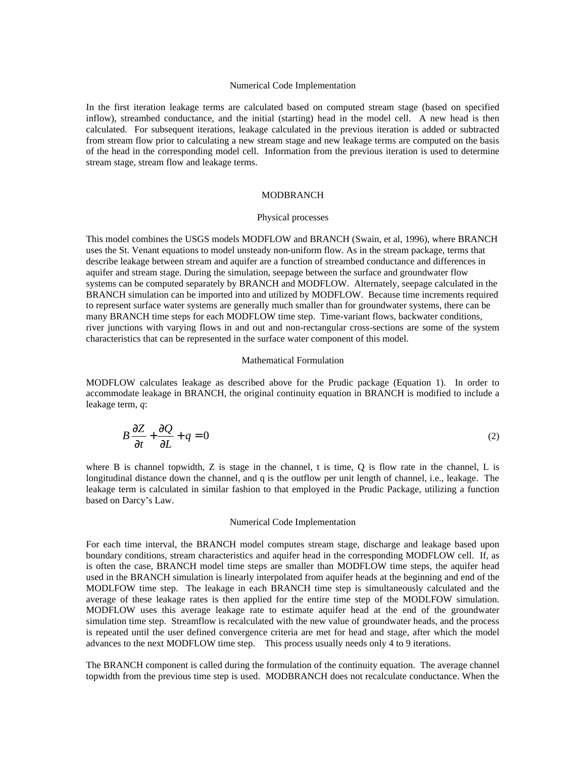### Numerical Code Implementation

In the first iteration leakage terms are calculated based on computed stream stage (based on specified inflow), streambed conductance, and the initial (starting) head in the model cell. A new head is then calculated. For subsequent iterations, leakage calculated in the previous iteration is added or subtracted from stream flow prior to calculating a new stream stage and new leakage terms are computed on the basis of the head in the corresponding model cell. Information from the previous iteration is used to determine stream stage, stream flow and leakage terms.

# MODBRANCH

#### Physical processes

This model combines the USGS models MODFLOW and BRANCH (Swain, et al, 1996), where BRANCH uses the St. Venant equations to model unsteady non-uniform flow. As in the stream package, terms that describe leakage between stream and aquifer are a function of streambed conductance and differences in aquifer and stream stage. During the simulation, seepage between the surface and groundwater flow systems can be computed separately by BRANCH and MODFLOW. Alternately, seepage calculated in the BRANCH simulation can be imported into and utilized by MODFLOW. Because time increments required to represent surface water systems are generally much smaller than for groundwater systems, there can be many BRANCH time steps for each MODFLOW time step. Time-variant flows, backwater conditions, river junctions with varying flows in and out and non-rectangular cross-sections are some of the system characteristics that can be represented in the surface water component of this model.

#### Mathematical Formulation

MODFLOW calculates leakage as described above for the Prudic package (Equation 1). In order to accommodate leakage in BRANCH, the original continuity equation in BRANCH is modified to include a leakage term, *q*:

$$
B\frac{\partial Z}{\partial t} + \frac{\partial Q}{\partial L} + q = 0
$$
 (2)

where B is channel topwidth, Z is stage in the channel, t is time, Q is flow rate in the channel, L is longitudinal distance down the channel, and q is the outflow per unit length of channel, i.e., leakage. The leakage term is calculated in similar fashion to that employed in the Prudic Package, utilizing a function based on Darcy's Law.

### Numerical Code Implementation

For each time interval, the BRANCH model computes stream stage, discharge and leakage based upon boundary conditions, stream characteristics and aquifer head in the corresponding MODFLOW cell. If, as is often the case, BRANCH model time steps are smaller than MODFLOW time steps, the aquifer head used in the BRANCH simulation is linearly interpolated from aquifer heads at the beginning and end of the MODLFOW time step. The leakage in each BRANCH time step is simultaneously calculated and the average of these leakage rates is then applied for the entire time step of the MODLFOW simulation. MODFLOW uses this average leakage rate to estimate aquifer head at the end of the groundwater simulation time step. Streamflow is recalculated with the new value of groundwater heads, and the process is repeated until the user defined convergence criteria are met for head and stage, after which the model advances to the next MODFLOW time step. This process usually needs only 4 to 9 iterations.

The BRANCH component is called during the formulation of the continuity equation. The average channel topwidth from the previous time step is used. MODBRANCH does not recalculate conductance. When the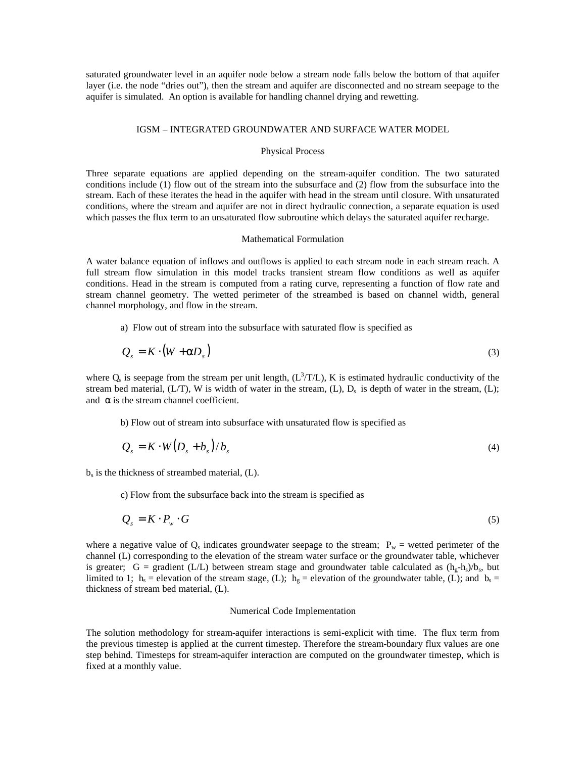saturated groundwater level in an aquifer node below a stream node falls below the bottom of that aquifer layer (i.e. the node "dries out"), then the stream and aquifer are disconnected and no stream seepage to the aquifer is simulated. An option is available for handling channel drying and rewetting.

### IGSM – INTEGRATED GROUNDWATER AND SURFACE WATER MODEL

#### Physical Process

Three separate equations are applied depending on the stream-aquifer condition. The two saturated conditions include (1) flow out of the stream into the subsurface and (2) flow from the subsurface into the stream. Each of these iterates the head in the aquifer with head in the stream until closure. With unsaturated conditions, where the stream and aquifer are not in direct hydraulic connection, a separate equation is used which passes the flux term to an unsaturated flow subroutine which delays the saturated aquifer recharge.

#### Mathematical Formulation

A water balance equation of inflows and outflows is applied to each stream node in each stream reach. A full stream flow simulation in this model tracks transient stream flow conditions as well as aquifer conditions. Head in the stream is computed from a rating curve, representing a function of flow rate and stream channel geometry. The wetted perimeter of the streambed is based on channel width, general channel morphology, and flow in the stream.

a)Flow out of stream into the subsurface with saturated flow is specified as

$$
Q_s = K \cdot (W + aD_s) \tag{3}
$$

where  $Q_s$  is seepage from the stream per unit length,  $(L^3/T/L)$ , K is estimated hydraulic conductivity of the stream bed material,  $(L/T)$ , W is width of water in the stream,  $(L)$ ,  $D<sub>s</sub>$  is depth of water in the stream,  $(L)$ ; and  $\alpha$  is the stream channel coefficient.

b) Flow out of stream into subsurface with unsaturated flow is specified as

$$
Q_s = K \cdot W(D_s + b_s) / b_s \tag{4}
$$

bs is the thickness of streambed material, (L).

c) Flow from the subsurface back into the stream is specified as

$$
Q_s = K \cdot P_w \cdot G \tag{5}
$$

where a negative value of  $Q_s$  indicates groundwater seepage to the stream;  $P_w$  = wetted perimeter of the channel (L) corresponding to the elevation of the stream water surface or the groundwater table, whichever is greater; G = gradient (L/L) between stream stage and groundwater table calculated as  $(h_g-h_s)/b_s$ , but limited to 1;  $h_s$  = elevation of the stream stage, (L);  $h_g$  = elevation of the groundwater table, (L); and  $b_s$  = thickness of stream bed material, (L).

### Numerical Code Implementation

The solution methodology for stream-aquifer interactions is semi-explicit with time. The flux term from the previous timestep is applied at the current timestep. Therefore the stream-boundary flux values are one step behind. Timesteps for stream-aquifer interaction are computed on the groundwater timestep, which is fixed at a monthly value.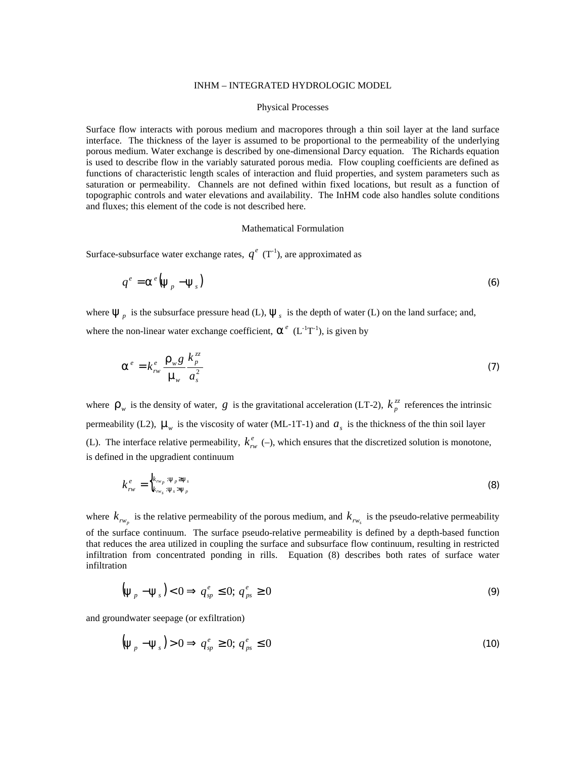### INHM – INTEGRATED HYDROLOGIC MODEL

#### Physical Processes

Surface flow interacts with porous medium and macropores through a thin soil layer at the land surface interface. The thickness of the layer is assumed to be proportional to the permeability of the underlying porous medium. Water exchange is described by one-dimensional Darcy equation. The Richards equation is used to describe flow in the variably saturated porous media. Flow coupling coefficients are defined as functions of characteristic length scales of interaction and fluid properties, and system parameters such as saturation or permeability. Channels are not defined within fixed locations, but result as a function of topographic controls and water elevations and availability. The InHM code also handles solute conditions and fluxes; this element of the code is not described here.

#### Mathematical Formulation

Surface-subsurface water exchange rates,  $q^e$  (T<sup>-1</sup>), are approximated as

$$
q^e = \mathbf{a}^e \left( \mathbf{y}_p - \mathbf{y}_s \right) \tag{6}
$$

where  $\mathbf{y}_p$  is the subsurface pressure head (L),  $\mathbf{y}_s$  is the depth of water (L) on the land surface; and, where the non-linear water exchange coefficient,  $\mathbf{a}^e$  ( $L^{-1}T^{-1}$ ), is given by

$$
\mathbf{a}^e = k_{rw}^e \frac{\mathbf{r}_w g}{\mathbf{m}_w} \frac{k_p^{zz}}{a_s^2}
$$
 (7)

where  $\mathbf{r}_w$  is the density of water, *g* is the gravitational acceleration (LT-2),  $k_p^z$  references the intrinsic permeability (L2),  $\mathbf{m}_w$  is the viscosity of water (ML-1T-1) and  $a_s$  is the thickness of the thin soil layer (L). The interface relative permeability,  $k_{rw}^e$  (–), which ensures that the discretized solution is monotone, is defined in the upgradient continuum

$$
k_{rw}^e = \begin{cases} k_{rw_p} \cdot \mathbf{y}_p \geq \mathbf{y}_s \\ k_{rw_s} \cdot \mathbf{y}_s \geq \mathbf{y}_p \end{cases}
$$
 (8)

where  $k_{rw_p}$  is the relative permeability of the porous medium, and  $k_{rw_s}$  is the pseudo-relative permeability of the surface continuum. The surface pseudo-relative permeability is defined by a depth-based function that reduces the area utilized in coupling the surface and subsurface flow continuum, resulting in restricted infiltration from concentrated ponding in rills. Equation (8) describes both rates of surface water infiltration

$$
\left(\mathbf{y}_{p}-\mathbf{y}_{s}\right)<0\Rightarrow q_{sp}^{e}\leq0;\,q_{ps}^{e}\geq0\tag{9}
$$

and groundwater seepage (or exfiltration)

$$
\left(\mathbf{y}_{p}-\mathbf{y}_{s}\right) > 0 \Rightarrow q_{sp}^{e} \geq 0; \, q_{ps}^{e} \leq 0 \tag{10}
$$